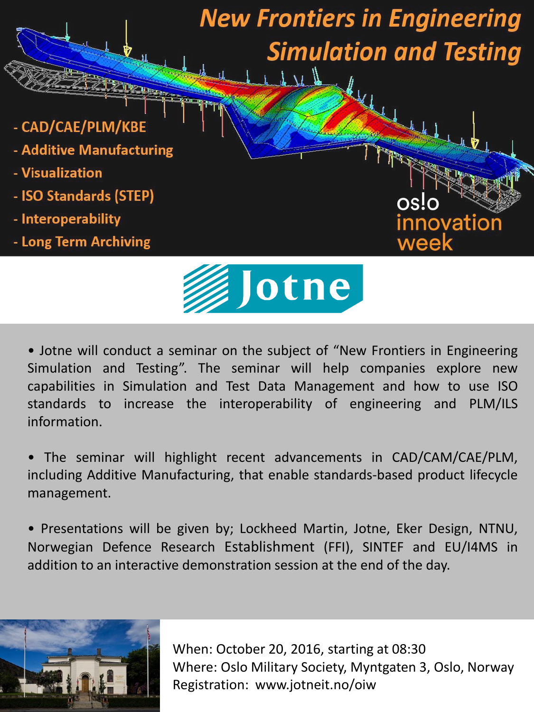



• Jotne will conduct a seminar on the subject of "New Frontiers in Engineering Simulation and Testing". The seminar will help companies explore new capabilities in Simulation and Test Data Management and how to use ISO standards to increase the interoperability of engineering and PLM/ILS information.

• The seminar will highlight recent advancements in CAD/CAM/CAE/PLM, including Additive Manufacturing, that enable standards-based product lifecycle management.

• Presentations will be given by; Lockheed Martin, Jotne, Eker Design, NTNU, Norwegian Defence Research Establishment (FFI), SINTEF and EU/I4MS in addition to an interactive demonstration session at the end of the day.



When: October 20, 2016, starting at 08:30 Where: Oslo Military Society, Myntgaten 3, Oslo, Norway Registration: www.jotneit.no/oiw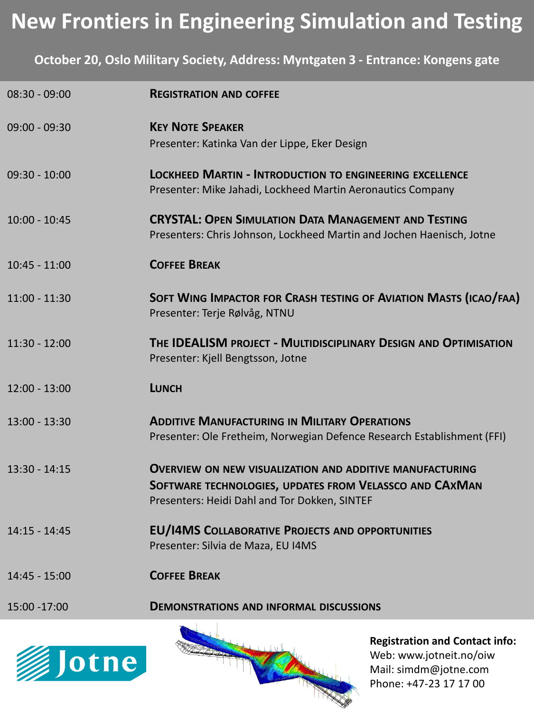**October 20, Oslo Military Society, Address: Myntgaten 3 - Entrance: Kongens gate**

| $08:30 - 09:00$ | <b>REGISTRATION AND COFFEE</b>                                                                                                                                              |
|-----------------|-----------------------------------------------------------------------------------------------------------------------------------------------------------------------------|
| $09:00 - 09:30$ | <b>KEY NOTE SPEAKER</b><br>Presenter: Katinka Van der Lippe, Eker Design                                                                                                    |
| $09:30 - 10:00$ | <b>LOCKHEED MARTIN - INTRODUCTION TO ENGINEERING EXCELLENCE</b><br>Presenter: Mike Jahadi, Lockheed Martin Aeronautics Company                                              |
| $10:00 - 10:45$ | <b>CRYSTAL: OPEN SIMULATION DATA MANAGEMENT AND TESTING</b><br>Presenters: Chris Johnson, Lockheed Martin and Jochen Haenisch, Jotne                                        |
| $10:45 - 11:00$ | <b>COFFEE BREAK</b>                                                                                                                                                         |
| $11:00 - 11:30$ | SOFT WING IMPACTOR FOR CRASH TESTING OF AVIATION MASTS (ICAO/FAA)<br>Presenter: Terje Rølvåg, NTNU                                                                          |
| $11:30 - 12:00$ | THE IDEALISM PROJECT - MULTIDISCIPLINARY DESIGN AND OPTIMISATION<br>Presenter: Kjell Bengtsson, Jotne                                                                       |
| $12:00 - 13:00$ | <b>LUNCH</b>                                                                                                                                                                |
| $13:00 - 13:30$ | <b>ADDITIVE MANUFACTURING IN MILITARY OPERATIONS</b><br>Presenter: Ole Fretheim, Norwegian Defence Research Establishment (FFI)                                             |
| $13:30 - 14:15$ | <b>OVERVIEW ON NEW VISUALIZATION AND ADDITIVE MANUFACTURING</b><br>SOFTWARE TECHNOLOGIES, UPDATES FROM VELASSCO AND CAXMAN<br>Presenters: Heidi Dahl and Tor Dokken, SINTEF |
| $14:15 - 14:45$ | <b>EU/I4MS COLLABORATIVE PROJECTS AND OPPORTUNITIES</b><br>Presenter: Silvia de Maza, EU I4MS                                                                               |
| 14:45 - 15:00   | <b>COFFEE BREAK</b>                                                                                                                                                         |
| 15:00 -17:00    | <b>DEMONSTRATIONS AND INFORMAL DISCUSSIONS</b>                                                                                                                              |





## **Registration and Contact info:** Web: www.jotneit.no/oiw

Mail: simdm@jotne.com Phone: +47-23 17 17 00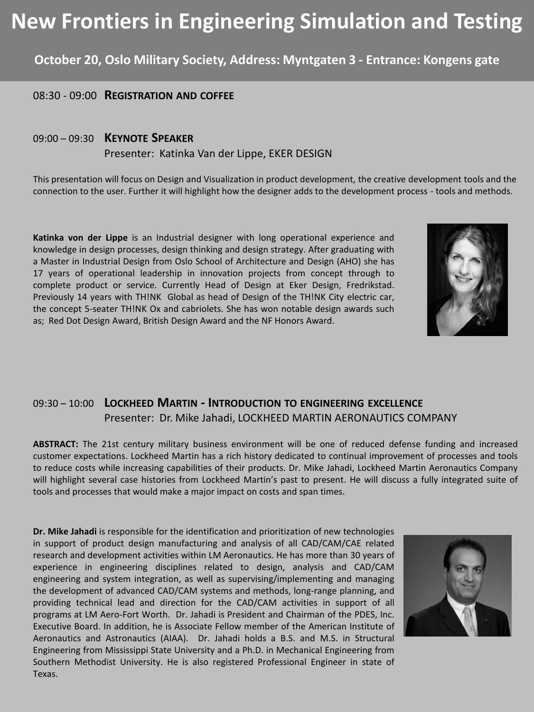**October 20, Oslo Military Society, Address: Myntgaten 3 - Entrance: Kongens gate**

#### 08:30 - 09:00 **REGISTRATION AND COFFEE**

#### 09:00 – 09:30 **KEYNOTE SPEAKER**

Presenter: Katinka Van der Lippe, EKER DESIGN

This presentation will focus on Design and Visualization in product development, the creative development tools and the connection to the user. Further it will highlight how the designer adds to the development process - tools and methods.

**Katinka von der Lippe** is an Industrial designer with long operational experience and knowledge in design processes, design thinking and design strategy. After graduating with a Master in Industrial Design from Oslo School of Architecture and Design (AHO) she has 17 years of operational leadership in innovation projects from concept through to complete product or service. Currently Head of Design at Eker Design, Fredrikstad. Previously 14 years with TH!NK Global as head of Design of the TH!NK City electric car, the concept 5-seater TH!NK Ox and cabriolets. She has won notable design awards such as; Red Dot Design Award, British Design Award and the NF Honors Award.



#### 09:30 – 10:00 **LOCKHEED MARTIN - INTRODUCTION TO ENGINEERING EXCELLENCE** Presenter: Dr. Mike Jahadi, LOCKHEED MARTIN AERONAUTICS COMPANY

**ABSTRACT:** The 21st century military business environment will be one of reduced defense funding and increased customer expectations. Lockheed Martin has a rich history dedicated to continual improvement of processes and tools to reduce costs while increasing capabilities of their products. Dr. Mike Jahadi, Lockheed Martin Aeronautics Company will highlight several case histories from Lockheed Martin's past to present. He will discuss a fully integrated suite of tools and processes that would make a major impact on costs and span times.

**Dr. Mike Jahadi** is responsible for the identification and prioritization of new technologies in support of product design manufacturing and analysis of all CAD/CAM/CAE related research and development activities within LM Aeronautics. He has more than 30 years of experience in engineering disciplines related to design, analysis and CAD/CAM engineering and system integration, as well as supervising/implementing and managing the development of advanced CAD/CAM systems and methods, long-range planning, and providing technical lead and direction for the CAD/CAM activities in support of all programs at LM Aero-Fort Worth. Dr. Jahadi is President and Chairman of the PDES, Inc. Executive Board. In addition, he is Associate Fellow member of the American Institute of Aeronautics and Astronautics (AIAA). Dr. Jahadi holds a B.S. and M.S. in Structural Engineering from Mississippi State University and a Ph.D. in Mechanical Engineering from Southern Methodist University. He is also registered Professional Engineer in state of Texas.

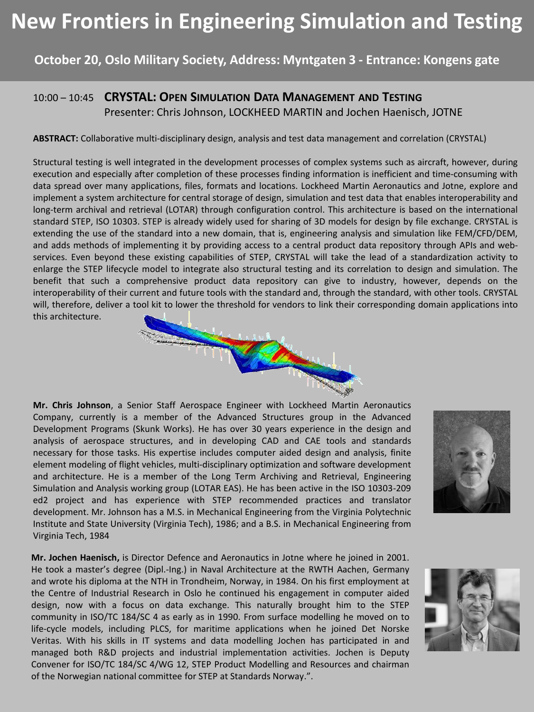### **October 20, Oslo Military Society, Address: Myntgaten 3 - Entrance: Kongens gate**

#### 10:00 – 10:45 **CRYSTAL: OPEN SIMULATION DATA MANAGEMENT AND TESTING**

Presenter: Chris Johnson, LOCKHEED MARTIN and Jochen Haenisch, JOTNE

#### **ABSTRACT:** Collaborative multi-disciplinary design, analysis and test data management and correlation (CRYSTAL)

Structural testing is well integrated in the development processes of complex systems such as aircraft, however, during execution and especially after completion of these processes finding information is inefficient and time-consuming with data spread over many applications, files, formats and locations. Lockheed Martin Aeronautics and Jotne, explore and implement a system architecture for central storage of design, simulation and test data that enables interoperability and long-term archival and retrieval (LOTAR) through configuration control. This architecture is based on the international standard STEP, ISO 10303. STEP is already widely used for sharing of 3D models for design by file exchange. CRYSTAL is extending the use of the standard into a new domain, that is, engineering analysis and simulation like FEM/CFD/DEM, and adds methods of implementing it by providing access to a central product data repository through APIs and webservices. Even beyond these existing capabilities of STEP, CRYSTAL will take the lead of a standardization activity to enlarge the STEP lifecycle model to integrate also structural testing and its correlation to design and simulation. The benefit that such a comprehensive product data repository can give to industry, however, depends on the interoperability of their current and future tools with the standard and, through the standard, with other tools. CRYSTAL will, therefore, deliver a tool kit to lower the threshold for vendors to link their corresponding domain applications into this architecture.



**Mr. Chris Johnson**, a Senior Staff Aerospace Engineer with Lockheed Martin Aeronautics Company, currently is a member of the Advanced Structures group in the Advanced Development Programs (Skunk Works). He has over 30 years experience in the design and analysis of aerospace structures, and in developing CAD and CAE tools and standards necessary for those tasks. His expertise includes computer aided design and analysis, finite element modeling of flight vehicles, multi-disciplinary optimization and software development and architecture. He is a member of the Long Term Archiving and Retrieval, Engineering Simulation and Analysis working group (LOTAR EAS). He has been active in the ISO 10303-209 ed2 project and has experience with STEP recommended practices and translator development. Mr. Johnson has a M.S. in Mechanical Engineering from the Virginia Polytechnic Institute and State University (Virginia Tech), 1986; and a B.S. in Mechanical Engineering from Virginia Tech, 1984

**Mr. Jochen Haenisch,** is Director Defence and Aeronautics in Jotne where he joined in 2001. He took a master's degree (Dipl.-Ing.) in Naval Architecture at the RWTH Aachen, Germany and wrote his diploma at the NTH in Trondheim, Norway, in 1984. On his first employment at the Centre of Industrial Research in Oslo he continued his engagement in computer aided design, now with a focus on data exchange. This naturally brought him to the STEP community in ISO/TC 184/SC 4 as early as in 1990. From surface modelling he moved on to life-cycle models, including PLCS, for maritime applications when he joined Det Norske Veritas. With his skills in IT systems and data modelling Jochen has participated in and managed both R&D projects and industrial implementation activities. Jochen is Deputy Convener for ISO/TC 184/SC 4/WG 12, STEP Product Modelling and Resources and chairman of the Norwegian national committee for STEP at Standards Norway.".



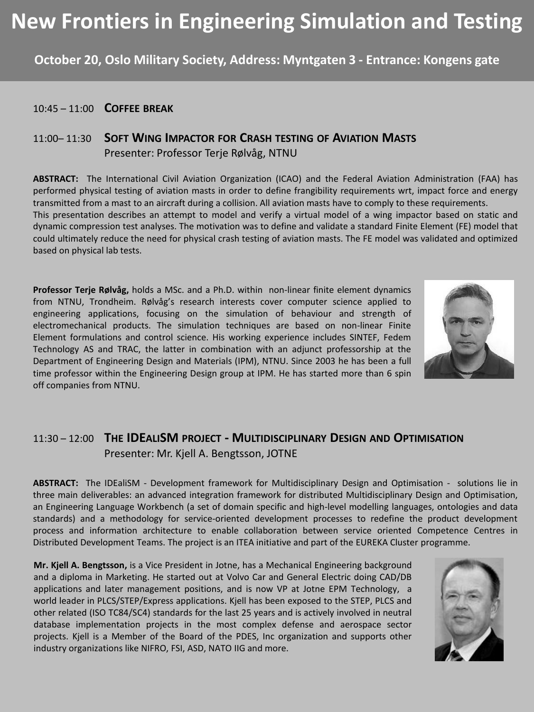**October 20, Oslo Military Society, Address: Myntgaten 3 - Entrance: Kongens gate**

#### 10:45 – 11:00 **COFFEE BREAK**

### 11:00– 11:30 **SOFT WING IMPACTOR FOR CRASH TESTING OF AVIATION MASTS** Presenter: Professor Terje Rølvåg, NTNU

**ABSTRACT:** The International Civil Aviation Organization (ICAO) and the Federal Aviation Administration (FAA) has performed physical testing of aviation masts in order to define frangibility requirements wrt, impact force and energy transmitted from a mast to an aircraft during a collision. All aviation masts have to comply to these requirements. This presentation describes an attempt to model and verify a virtual model of a wing impactor based on static and dynamic compression test analyses. The motivation was to define and validate a standard Finite Element (FE) model that could ultimately reduce the need for physical crash testing of aviation masts. The FE model was validated and optimized based on physical lab tests.

**Professor Terje Rølvåg,** holds a MSc. and a Ph.D. within non-linear finite element dynamics from NTNU, Trondheim. Rølvåg's research interests cover computer science applied to engineering applications, focusing on the simulation of behaviour and strength of electromechanical products. The simulation techniques are based on non-linear Finite Element formulations and control science. His working experience includes SINTEF, Fedem Technology AS and TRAC, the latter in combination with an adjunct professorship at the Department of Engineering Design and Materials (IPM), NTNU. Since 2003 he has been a full time professor within the Engineering Design group at IPM. He has started more than 6 spin off companies from NTNU.



#### 11:30 – 12:00 **THE IDEALISM PROJECT - MULTIDISCIPLINARY DESIGN AND OPTIMISATION** Presenter: Mr. Kjell A. Bengtsson, JOTNE

**ABSTRACT:** The IDEaliSM - Development framework for Multidisciplinary Design and Optimisation - solutions lie in three main deliverables: an advanced integration framework for distributed Multidisciplinary Design and Optimisation, an Engineering Language Workbench (a set of domain specific and high-level modelling languages, ontologies and data standards) and a methodology for service-oriented development processes to redefine the product development process and information architecture to enable collaboration between service oriented Competence Centres in Distributed Development Teams. The project is an ITEA initiative and part of the EUREKA Cluster programme.

**Mr. Kjell A. Bengtsson,** is a Vice President in Jotne, has a Mechanical Engineering background and a diploma in Marketing. He started out at Volvo Car and General Electric doing CAD/DB applications and later management positions, and is now VP at Jotne EPM Technology, a world leader in PLCS/STEP/Express applications. Kjell has been exposed to the STEP, PLCS and other related (ISO TC84/SC4) standards for the last 25 years and is actively involved in neutral database implementation projects in the most complex defense and aerospace sector projects. Kjell is a Member of the Board of the PDES, Inc organization and supports other industry organizations like NIFRO, FSI, ASD, NATO IIG and more.

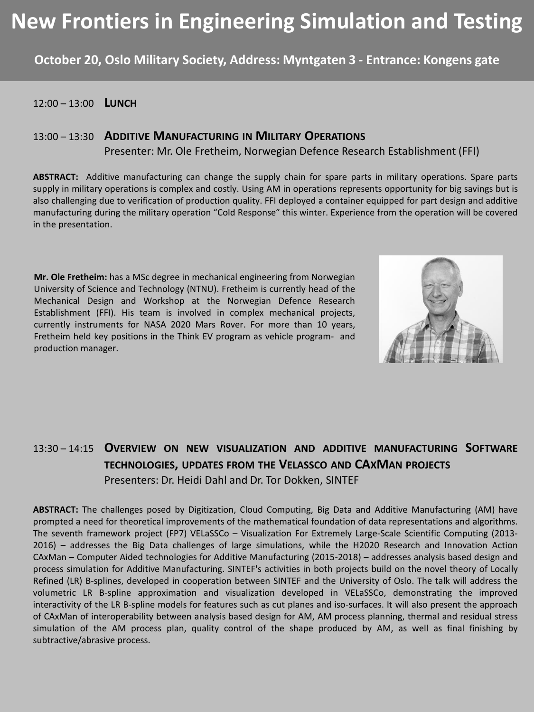**October 20, Oslo Military Society, Address: Myntgaten 3 - Entrance: Kongens gate**

12:00 – 13:00 **LUNCH**

#### 13:00 – 13:30 **ADDITIVE MANUFACTURING IN MILITARY OPERATIONS**

Presenter: Mr. Ole Fretheim, Norwegian Defence Research Establishment (FFI)

**ABSTRACT:** Additive manufacturing can change the supply chain for spare parts in military operations. Spare parts supply in military operations is complex and costly. Using AM in operations represents opportunity for big savings but is also challenging due to verification of production quality. FFI deployed a container equipped for part design and additive manufacturing during the military operation "Cold Response" this winter. Experience from the operation will be covered in the presentation.

**Mr. Ole Fretheim:** has a MSc degree in mechanical engineering from Norwegian University of Science and Technology (NTNU). Fretheim is currently head of the Mechanical Design and Workshop at the Norwegian Defence Research Establishment (FFI). His team is involved in complex mechanical projects, currently instruments for NASA 2020 Mars Rover. For more than 10 years, Fretheim held key positions in the Think EV program as vehicle program- and production manager.



## 13:30 – 14:15 **OVERVIEW ON NEW VISUALIZATION AND ADDITIVE MANUFACTURING SOFTWARE TECHNOLOGIES, UPDATES FROM THE VELASSCO AND CAXMAN PROJECTS** Presenters: Dr. Heidi Dahl and Dr. Tor Dokken, SINTEF

**ABSTRACT:** The challenges posed by Digitization, Cloud Computing, Big Data and Additive Manufacturing (AM) have prompted a need for theoretical improvements of the mathematical foundation of data representations and algorithms. The seventh framework project (FP7) VELaSSCo – Visualization For Extremely Large-Scale Scientific Computing (2013- 2016) – addresses the Big Data challenges of large simulations, while the H2020 Research and Innovation Action CAxMan – Computer Aided technologies for Additive Manufacturing (2015-2018) – addresses analysis based design and process simulation for Additive Manufacturing. SINTEF's activities in both projects build on the novel theory of Locally Refined (LR) B-splines, developed in cooperation between SINTEF and the University of Oslo. The talk will address the volumetric LR B-spline approximation and visualization developed in VELaSSCo, demonstrating the improved interactivity of the LR B-spline models for features such as cut planes and iso-surfaces. It will also present the approach of CAxMan of interoperability between analysis based design for AM, AM process planning, thermal and residual stress simulation of the AM process plan, quality control of the shape produced by AM, as well as final finishing by subtractive/abrasive process.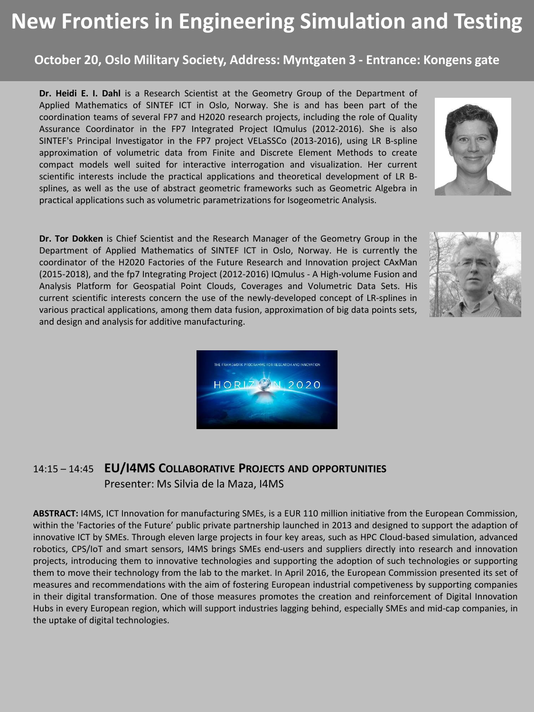**October 20, Oslo Military Society, Address: Myntgaten 3 - Entrance: Kongens gate**

**Dr. Heidi E. I. Dahl** is a Research Scientist at the Geometry Group of the Department of Applied Mathematics of SINTEF ICT in Oslo, Norway. She is and has been part of the coordination teams of several FP7 and H2020 research projects, including the role of Quality Assurance Coordinator in the FP7 Integrated Project IQmulus (2012-2016). She is also SINTEF's Principal Investigator in the FP7 project VELaSSCo (2013-2016), using LR B-spline approximation of volumetric data from Finite and Discrete Element Methods to create compact models well suited for interactive interrogation and visualization. Her current scientific interests include the practical applications and theoretical development of LR Bsplines, as well as the use of abstract geometric frameworks such as Geometric Algebra in practical applications such as volumetric parametrizations for Isogeometric Analysis.

**Dr. Tor Dokken** is Chief Scientist and the Research Manager of the Geometry Group in the Department of Applied Mathematics of SINTEF ICT in Oslo, Norway. He is currently the coordinator of the H2020 Factories of the Future Research and Innovation project CAxMan (2015-2018), and the fp7 Integrating Project (2012-2016) IQmulus - A High-volume Fusion and Analysis Platform for Geospatial Point Clouds, Coverages and Volumetric Data Sets. His current scientific interests concern the use of the newly-developed concept of LR-splines in various practical applications, among them data fusion, approximation of big data points sets, and design and analysis for additive manufacturing.





### 14:15 – 14:45 **EU/I4MS COLLABORATIVE PROJECTS AND OPPORTUNITIES** Presenter: Ms Silvia de la Maza, I4MS

**ABSTRACT:** I4MS, ICT Innovation for manufacturing SMEs, is a EUR 110 million initiative from the European Commission, within the 'Factories of the Future' public private partnership launched in 2013 and designed to support the adaption of innovative ICT by SMEs. Through eleven large projects in four key areas, such as HPC Cloud-based simulation, advanced robotics, CPS/IoT and smart sensors, I4MS brings SMEs end-users and suppliers directly into research and innovation projects, introducing them to innovative technologies and supporting the adoption of such technologies or supporting them to move their technology from the lab to the market. In April 2016, the European Commission presented its set of measures and recommendations with the aim of fostering European industrial competiveness by supporting companies in their digital transformation. One of those measures promotes the creation and reinforcement of Digital Innovation Hubs in every European region, which will support industries lagging behind, especially SMEs and mid-cap companies, in the uptake of digital technologies.